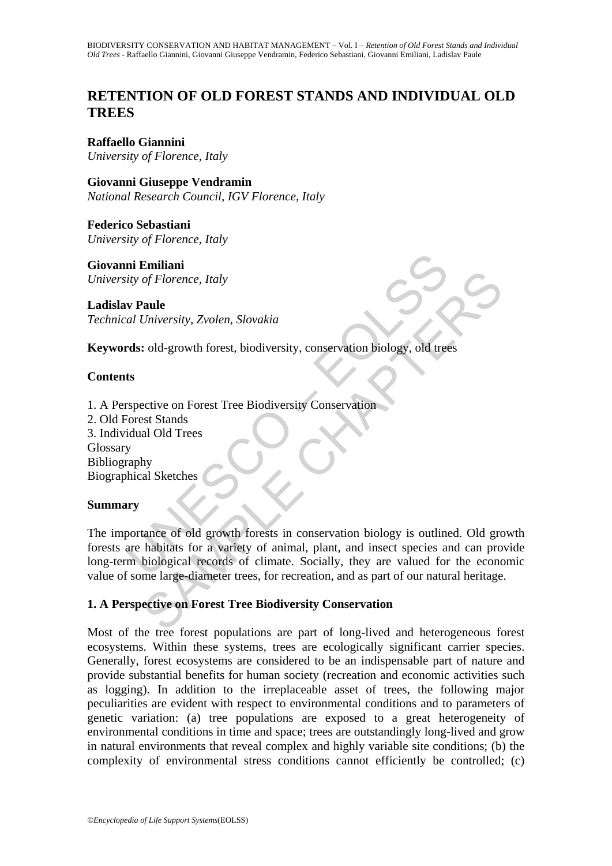# **RETENTION OF OLD FOREST STANDS AND INDIVIDUAL OLD TREES**

**Raffaello Giannini** 

*University of Florence, Italy* 

**Giovanni Giuseppe Vendramin**  *National Research Council, IGV Florence, Italy* 

**Federico Sebastiani**  *University of Florence, Italy* 

**Giovanni Emiliani**  *University of Florence, Italy* 

**Ladislav Paule**  *Technical University, Zvolen, Slovakia* 

**Keywords:** old-growth forest, biodiversity, conservation biology, old trees

## **Contents**

**ni Emiliani**<br>
ity of Florence, Italy<br> **uversity**, Zvolen, Slovakia<br> **rds:** old-growth forest, biodiversity, conservation biology, old tree<br> **ts**<br> **rspective on Forest Tree Biodiversity Conservation**<br>
orient Stands<br>
idual The Chapter of Horence, Italy<br>
2011<br>
2011<br>
2014 growth forest, biodiversity, conservation biology, old trees<br>
2016<br>
2014 growth forest Tree Biodiversity Conservation<br>
2018<br>
2014 State Stands<br>
2014 State Stands<br>
2014 State 1. A Perspective on Forest Tree Biodiversity Conservation 2. Old Forest Stands 3. Individual Old Trees Glossary Bibliography Biographical Sketches

### **Summary**

The importance of old growth forests in conservation biology is outlined. Old growth forests are habitats for a variety of animal, plant, and insect species and can provide long-term biological records of climate. Socially, they are valued for the economic value of some large-diameter trees, for recreation, and as part of our natural heritage.

## **1. A Perspective on Forest Tree Biodiversity Conservation**

Most of the tree forest populations are part of long-lived and heterogeneous forest ecosystems. Within these systems, trees are ecologically significant carrier species. Generally, forest ecosystems are considered to be an indispensable part of nature and provide substantial benefits for human society (recreation and economic activities such as logging). In addition to the irreplaceable asset of trees, the following major peculiarities are evident with respect to environmental conditions and to parameters of genetic variation: (a) tree populations are exposed to a great heterogeneity of environmental conditions in time and space; trees are outstandingly long-lived and grow in natural environments that reveal complex and highly variable site conditions; (b) the complexity of environmental stress conditions cannot efficiently be controlled; (c)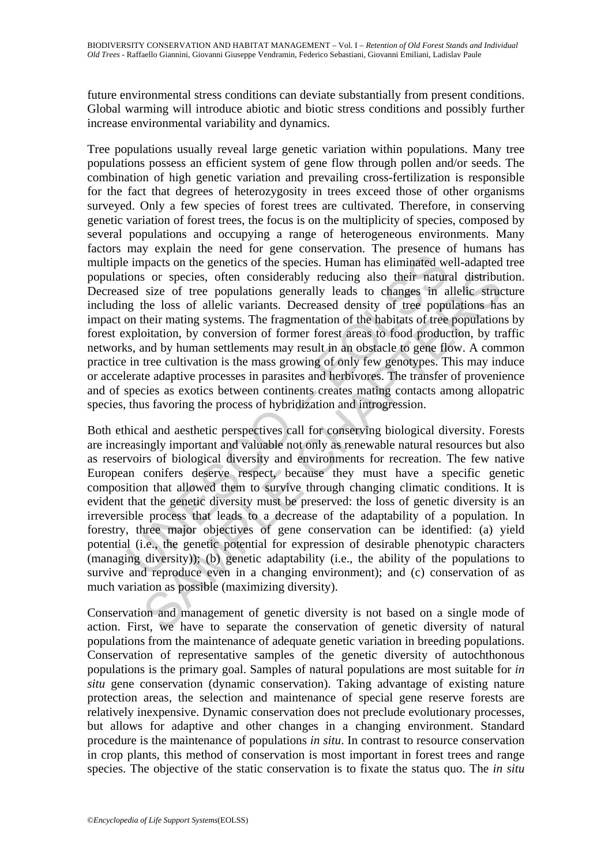future environmental stress conditions can deviate substantially from present conditions. Global warming will introduce abiotic and biotic stress conditions and possibly further increase environmental variability and dynamics.

may separate net cost in general controllation and periodic and episodic and episodic even in a chiesa and episodic even in a chiesa of the species. Human has eliminated wise of size of tree populations generally leads to Tree populations usually reveal large genetic variation within populations. Many tree populations possess an efficient system of gene flow through pollen and/or seeds. The combination of high genetic variation and prevailing cross-fertilization is responsible for the fact that degrees of heterozygosity in trees exceed those of other organisms surveyed. Only a few species of forest trees are cultivated. Therefore, in conserving genetic variation of forest trees, the focus is on the multiplicity of species, composed by several populations and occupying a range of heterogeneous environments. Many factors may explain the need for gene conservation. The presence of humans has multiple impacts on the genetics of the species. Human has eliminated well-adapted tree populations or species, often considerably reducing also their natural distribution. Decreased size of tree populations generally leads to changes in allelic structure including the loss of allelic variants. Decreased density of tree populations has an impact on their mating systems. The fragmentation of the habitats of tree populations by forest exploitation, by conversion of former forest areas to food production, by traffic networks, and by human settlements may result in an obstacle to gene flow. A common practice in tree cultivation is the mass growing of only few genotypes. This may induce or accelerate adaptive processes in parasites and herbivores. The transfer of provenience and of species as exotics between continents creates mating contacts among allopatric species, thus favoring the process of hybridization and introgression.

s or species, often considerably reducing also their natural distribute size of tree populations generally leads to changes in allefic structure the loss of alleils variants. Decreased density of tree populations has their Both ethical and aesthetic perspectives call for conserving biological diversity. Forests are increasingly important and valuable not only as renewable natural resources but also as reservoirs of biological diversity and environments for recreation. The few native European conifers deserve respect, because they must have a specific genetic composition that allowed them to survive through changing climatic conditions. It is evident that the genetic diversity must be preserved: the loss of genetic diversity is an irreversible process that leads to a decrease of the adaptability of a population. In forestry, three major objectives of gene conservation can be identified: (a) yield potential (i.e., the genetic potential for expression of desirable phenotypic characters (managing diversity)); (b) genetic adaptability (i.e., the ability of the populations to survive and reproduce even in a changing environment); and (c) conservation of as much variation as possible (maximizing diversity).

Conservation and management of genetic diversity is not based on a single mode of action. First, we have to separate the conservation of genetic diversity of natural populations from the maintenance of adequate genetic variation in breeding populations. Conservation of representative samples of the genetic diversity of autochthonous populations is the primary goal. Samples of natural populations are most suitable for *in situ* gene conservation (dynamic conservation). Taking advantage of existing nature protection areas, the selection and maintenance of special gene reserve forests are relatively inexpensive. Dynamic conservation does not preclude evolutionary processes, but allows for adaptive and other changes in a changing environment. Standard procedure is the maintenance of populations *in situ*. In contrast to resource conservation in crop plants, this method of conservation is most important in forest trees and range species. The objective of the static conservation is to fixate the status quo. The *in situ*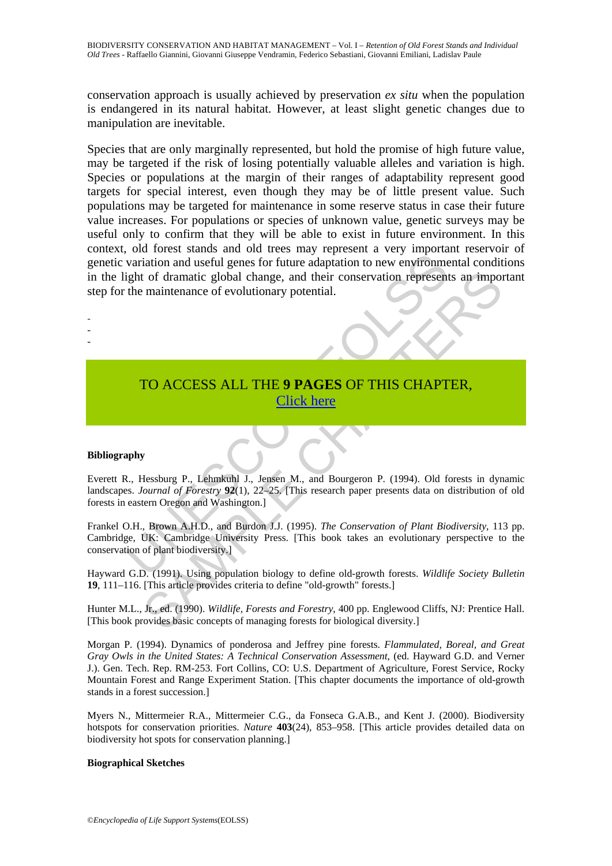conservation approach is usually achieved by preservation *ex situ* when the population is endangered in its natural habitat. However, at least slight genetic changes due to manipulation are inevitable.

variation and useful genes for future adaptation to new environment<br>ight of dramatic global change, and their conservation represent<br>the maintenance of evolutionary potential.<br>T[O](https://www.eolss.net/ebooklib/sc_cart.aspx?File=E1-67-02-01) ACCESS ALL THE 9 PAGES OF THIS CHAPT<br>Click Species that are only marginally represented, but hold the promise of high future value, may be targeted if the risk of losing potentially valuable alleles and variation is high. Species or populations at the margin of their ranges of adaptability represent good targets for special interest, even though they may be of little present value. Such populations may be targeted for maintenance in some reserve status in case their future value increases. For populations or species of unknown value, genetic surveys may be useful only to confirm that they will be able to exist in future environment. In this context, old forest stands and old trees may represent a very important reservoir of genetic variation and useful genes for future adaptation to new environmental conditions in the light of dramatic global change, and their conservation represents an important step for the maintenance of evolutionary potential.

# TO ACCESS ALL THE **9 PAGES** OF THIS CHAPTER, Click here

### **Bibliography**

- - -

Everett R., Hessburg P., Lehmkuhl J., Jensen M., and Bourgeron P. (1994). Old forests in dynamic landscapes. *Journal of Forestry* **92**(1), 22–25. [This research paper presents data on distribution of old forests in eastern Oregon and Washington.]

1 of dramatic global change, and their conservation represents an impormaintenance of evolutionary potential.<br>
TO ACCESS ALL THE 9 PAGES OF THIS CHAPTER,<br>
Click here<br>
1. Click here<br>
1. Click here<br>
1. Shown 2. Lehnkuhl J., Frankel O.H., Brown A.H.D., and Burdon J.J. (1995). *The Conservation of Plant Biodiversity*, 113 pp. Cambridge, UK: Cambridge University Press. [This book takes an evolutionary perspective to the conservation of plant biodiversity.]

Hayward G.D. (1991). Using population biology to define old-growth forests. *Wildlife Society Bulletin* **19**, 111–116. [This article provides criteria to define "old-growth" forests.]

Hunter M.L., Jr., ed. (1990). *Wildlife, Forests and Forestry*, 400 pp. Englewood Cliffs, NJ: Prentice Hall. [This book provides basic concepts of managing forests for biological diversity.]

Morgan P. (1994). Dynamics of ponderosa and Jeffrey pine forests. *Flammulated, Boreal, and Great Gray Owls in the United States: A Technical Conservation Assessment*, (ed. Hayward G.D. and Verner J.). Gen. Tech. Rep. RM-253. Fort Collins, CO: U.S. Department of Agriculture, Forest Service, Rocky Mountain Forest and Range Experiment Station. [This chapter documents the importance of old-growth stands in a forest succession.]

Myers N., Mittermeier R.A., Mittermeier C.G., da Fonseca G.A.B., and Kent J. (2000). Biodiversity hotspots for conservation priorities. *Nature* **403**(24), 853–958. [This article provides detailed data on biodiversity hot spots for conservation planning.]

### **Biographical Sketches**